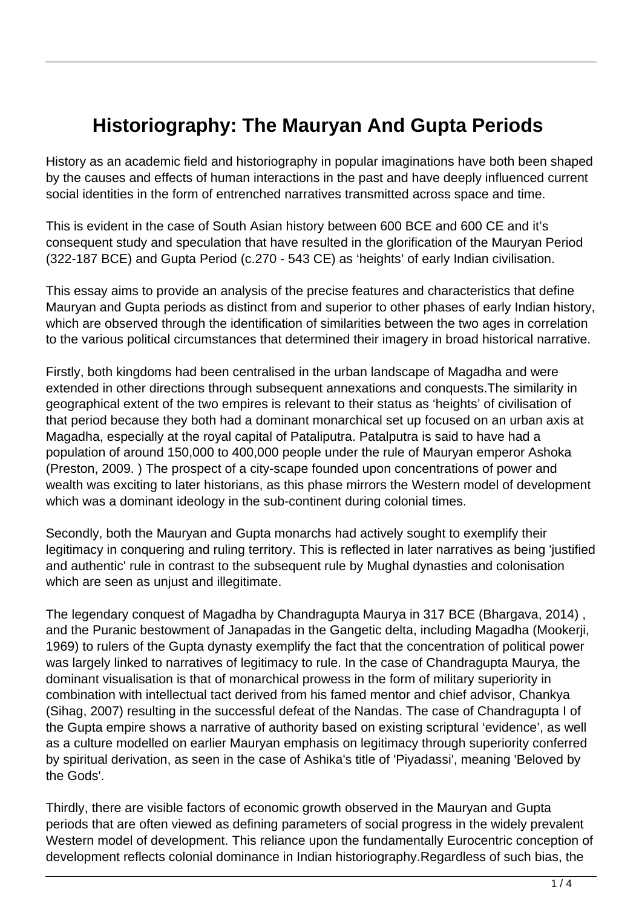## **Historiography: The Mauryan And Gupta Periods**

History as an academic field and historiography in popular imaginations have both been shaped by the causes and effects of human interactions in the past and have deeply influenced current social identities in the form of entrenched narratives transmitted across space and time.

This is evident in the case of South Asian history between 600 BCE and 600 CE and it's consequent study and speculation that have resulted in the glorification of the Mauryan Period (322-187 BCE) and Gupta Period (c.270 - 543 CE) as 'heights' of early Indian civilisation.

This essay aims to provide an analysis of the precise features and characteristics that define Mauryan and Gupta periods as distinct from and superior to other phases of early Indian history, which are observed through the identification of similarities between the two ages in correlation to the various political circumstances that determined their imagery in broad historical narrative.

Firstly, both kingdoms had been centralised in the urban landscape of Magadha and were extended in other directions through subsequent annexations and conquests.The similarity in geographical extent of the two empires is relevant to their status as 'heights' of civilisation of that period because they both had a dominant monarchical set up focused on an urban axis at Magadha, especially at the royal capital of Pataliputra. Patalputra is said to have had a population of around 150,000 to 400,000 people under the rule of Mauryan emperor Ashoka (Preston, 2009. ) The prospect of a city-scape founded upon concentrations of power and wealth was exciting to later historians, as this phase mirrors the Western model of development which was a dominant ideology in the sub-continent during colonial times.

Secondly, both the Mauryan and Gupta monarchs had actively sought to exemplify their legitimacy in conquering and ruling territory. This is reflected in later narratives as being 'justified and authentic' rule in contrast to the subsequent rule by Mughal dynasties and colonisation which are seen as unjust and illegitimate.

The legendary conquest of Magadha by Chandragupta Maurya in 317 BCE (Bhargava, 2014) , and the Puranic bestowment of Janapadas in the Gangetic delta, including Magadha (Mookerji, 1969) to rulers of the Gupta dynasty exemplify the fact that the concentration of political power was largely linked to narratives of legitimacy to rule. In the case of Chandragupta Maurya, the dominant visualisation is that of monarchical prowess in the form of military superiority in combination with intellectual tact derived from his famed mentor and chief advisor, Chankya (Sihag, 2007) resulting in the successful defeat of the Nandas. The case of Chandragupta I of the Gupta empire shows a narrative of authority based on existing scriptural 'evidence', as well as a culture modelled on earlier Mauryan emphasis on legitimacy through superiority conferred by spiritual derivation, as seen in the case of Ashika's title of 'Piyadassi', meaning 'Beloved by the Gods'.

Thirdly, there are visible factors of economic growth observed in the Mauryan and Gupta periods that are often viewed as defining parameters of social progress in the widely prevalent Western model of development. This reliance upon the fundamentally Eurocentric conception of development reflects colonial dominance in Indian historiography.Regardless of such bias, the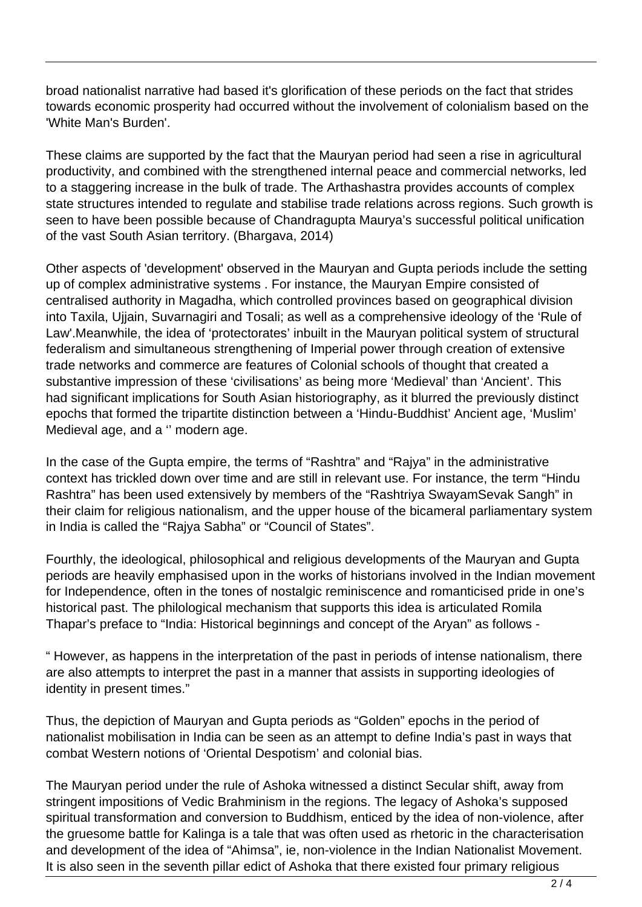broad nationalist narrative had based it's glorification of these periods on the fact that strides towards economic prosperity had occurred without the involvement of colonialism based on the 'White Man's Burden'.

These claims are supported by the fact that the Mauryan period had seen a rise in agricultural productivity, and combined with the strengthened internal peace and commercial networks, led to a staggering increase in the bulk of trade. The Arthashastra provides accounts of complex state structures intended to regulate and stabilise trade relations across regions. Such growth is seen to have been possible because of Chandragupta Maurya's successful political unification of the vast South Asian territory. (Bhargava, 2014)

Other aspects of 'development' observed in the Mauryan and Gupta periods include the setting up of complex administrative systems . For instance, the Mauryan Empire consisted of centralised authority in Magadha, which controlled provinces based on geographical division into Taxila, Ujjain, Suvarnagiri and Tosali; as well as a comprehensive ideology of the 'Rule of Law'.Meanwhile, the idea of 'protectorates' inbuilt in the Mauryan political system of structural federalism and simultaneous strengthening of Imperial power through creation of extensive trade networks and commerce are features of Colonial schools of thought that created a substantive impression of these 'civilisations' as being more 'Medieval' than 'Ancient'. This had significant implications for South Asian historiography, as it blurred the previously distinct epochs that formed the tripartite distinction between a 'Hindu-Buddhist' Ancient age, 'Muslim' Medieval age, and a '' modern age.

In the case of the Gupta empire, the terms of "Rashtra" and "Rajya" in the administrative context has trickled down over time and are still in relevant use. For instance, the term "Hindu Rashtra" has been used extensively by members of the "Rashtriya SwayamSevak Sangh" in their claim for religious nationalism, and the upper house of the bicameral parliamentary system in India is called the "Rajya Sabha" or "Council of States".

Fourthly, the ideological, philosophical and religious developments of the Mauryan and Gupta periods are heavily emphasised upon in the works of historians involved in the Indian movement for Independence, often in the tones of nostalgic reminiscence and romanticised pride in one's historical past. The philological mechanism that supports this idea is articulated Romila Thapar's preface to "India: Historical beginnings and concept of the Aryan" as follows -

" However, as happens in the interpretation of the past in periods of intense nationalism, there are also attempts to interpret the past in a manner that assists in supporting ideologies of identity in present times."

Thus, the depiction of Mauryan and Gupta periods as "Golden" epochs in the period of nationalist mobilisation in India can be seen as an attempt to define India's past in ways that combat Western notions of 'Oriental Despotism' and colonial bias.

The Mauryan period under the rule of Ashoka witnessed a distinct Secular shift, away from stringent impositions of Vedic Brahminism in the regions. The legacy of Ashoka's supposed spiritual transformation and conversion to Buddhism, enticed by the idea of non-violence, after the gruesome battle for Kalinga is a tale that was often used as rhetoric in the characterisation and development of the idea of "Ahimsa", ie, non-violence in the Indian Nationalist Movement. It is also seen in the seventh pillar edict of Ashoka that there existed four primary religious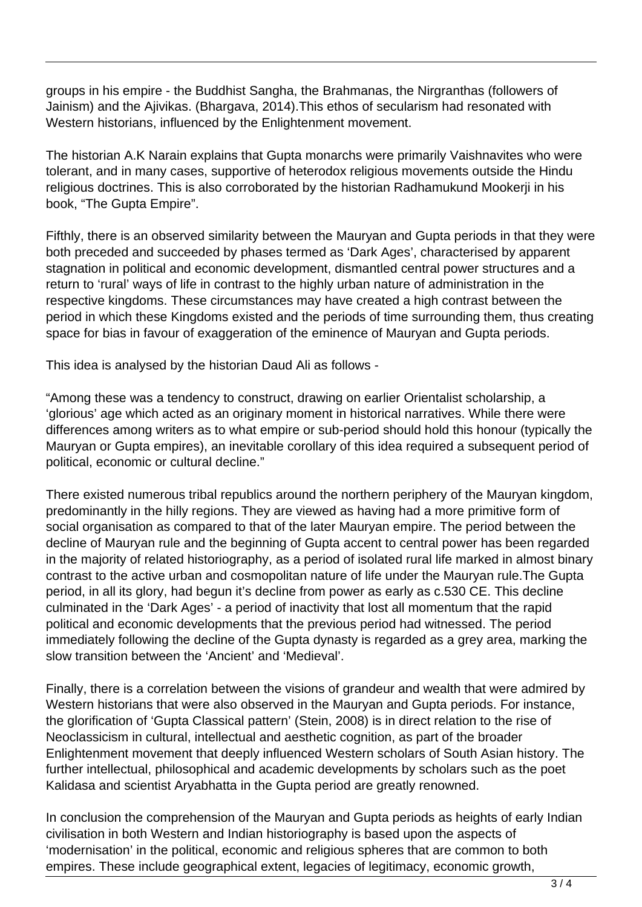groups in his empire - the Buddhist Sangha, the Brahmanas, the Nirgranthas (followers of Jainism) and the Ajivikas. (Bhargava, 2014).This ethos of secularism had resonated with Western historians, influenced by the Enlightenment movement.

The historian A.K Narain explains that Gupta monarchs were primarily Vaishnavites who were tolerant, and in many cases, supportive of heterodox religious movements outside the Hindu religious doctrines. This is also corroborated by the historian Radhamukund Mookerji in his book, "The Gupta Empire".

Fifthly, there is an observed similarity between the Mauryan and Gupta periods in that they were both preceded and succeeded by phases termed as 'Dark Ages', characterised by apparent stagnation in political and economic development, dismantled central power structures and a return to 'rural' ways of life in contrast to the highly urban nature of administration in the respective kingdoms. These circumstances may have created a high contrast between the period in which these Kingdoms existed and the periods of time surrounding them, thus creating space for bias in favour of exaggeration of the eminence of Mauryan and Gupta periods.

This idea is analysed by the historian Daud Ali as follows -

"Among these was a tendency to construct, drawing on earlier Orientalist scholarship, a 'glorious' age which acted as an originary moment in historical narratives. While there were differences among writers as to what empire or sub-period should hold this honour (typically the Mauryan or Gupta empires), an inevitable corollary of this idea required a subsequent period of political, economic or cultural decline."

There existed numerous tribal republics around the northern periphery of the Mauryan kingdom, predominantly in the hilly regions. They are viewed as having had a more primitive form of social organisation as compared to that of the later Mauryan empire. The period between the decline of Mauryan rule and the beginning of Gupta accent to central power has been regarded in the majority of related historiography, as a period of isolated rural life marked in almost binary contrast to the active urban and cosmopolitan nature of life under the Mauryan rule.The Gupta period, in all its glory, had begun it's decline from power as early as c.530 CE. This decline culminated in the 'Dark Ages' - a period of inactivity that lost all momentum that the rapid political and economic developments that the previous period had witnessed. The period immediately following the decline of the Gupta dynasty is regarded as a grey area, marking the slow transition between the 'Ancient' and 'Medieval'.

Finally, there is a correlation between the visions of grandeur and wealth that were admired by Western historians that were also observed in the Mauryan and Gupta periods. For instance, the glorification of 'Gupta Classical pattern' (Stein, 2008) is in direct relation to the rise of Neoclassicism in cultural, intellectual and aesthetic cognition, as part of the broader Enlightenment movement that deeply influenced Western scholars of South Asian history. The further intellectual, philosophical and academic developments by scholars such as the poet Kalidasa and scientist Aryabhatta in the Gupta period are greatly renowned.

In conclusion the comprehension of the Mauryan and Gupta periods as heights of early Indian civilisation in both Western and Indian historiography is based upon the aspects of 'modernisation' in the political, economic and religious spheres that are common to both empires. These include geographical extent, legacies of legitimacy, economic growth,